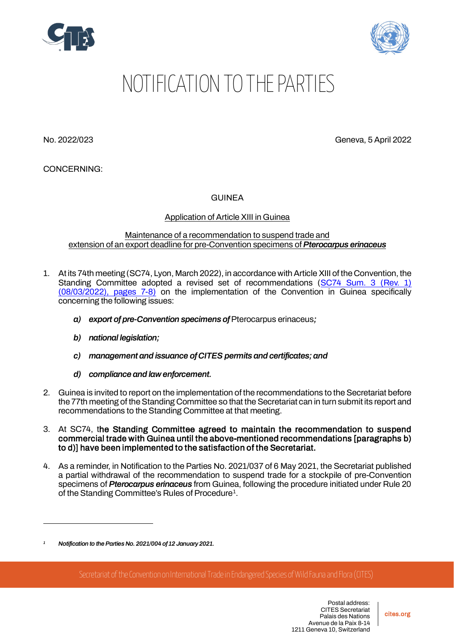



## NOTIFICATION TO THE PARTIES

No. 2022/023 Geneva, 5 April 2022

CONCERNING:

GUINEA

## Application of Article XIII in Guinea

## Maintenance of a recommendation to suspend trade and extension of an export deadline for pre-Convention specimens of *Pterocarpus erinaceus*

- 1. At its 74th meeting (SC74, Lyon, March 2022), in accordance with Article XIII of the Convention, the Standing Committee adopted a revised set of recommendations [\(SC74 Sum. 3 \(Rev. 1\)](https://cites.org/sites/default/files/eng/com/sc/74/exsum/E-SC74-Sum-03-R1.pdf)  [\(08/03/2022\), pages 7-8\)](https://cites.org/sites/default/files/eng/com/sc/74/exsum/E-SC74-Sum-03-R1.pdf) on the implementation of the Convention in Guinea specifically concerning the following issues:
	- *a) export of pre-Convention specimens of* Pterocarpus erinaceus*;*
	- *b) national legislation;*
	- *c) management and issuance of CITES permits and certificates; and*
	- *d) compliance and law enforcement.*
- 2. Guinea is invited to report on the implementation of the recommendations to the Secretariat before the 77th meeting of the Standing Committee so that the Secretariat can in turn submit its report and recommendations to the Standing Committee at that meeting.
- 3. At SC74, the Standing Committee agreed to maintain the recommendation to suspend commercial trade with Guinea until the above-mentioned recommendations [paragraphs b) to d)] have been implemented to the satisfaction of the Secretariat.
- 4. As a reminder, in Notification to the Parties No. 2021/037 of 6 May 2021, the Secretariat published a partial withdrawal of the recommendation to suspend trade for a stockpile of pre-Convention specimens of *Pterocarpus erinaceus* from Guinea, following the procedure initiated under Rule 20 of the Standing Committee's Rules of Procedure[1.](#page-0-0)

Secretariat of the Convention on International Trade in Endangered Species of Wild Fauna and Flora (CITES)

<span id="page-0-0"></span>*<sup>1</sup> Notification to the Parties No. 2021/004 of 12 January 2021.*